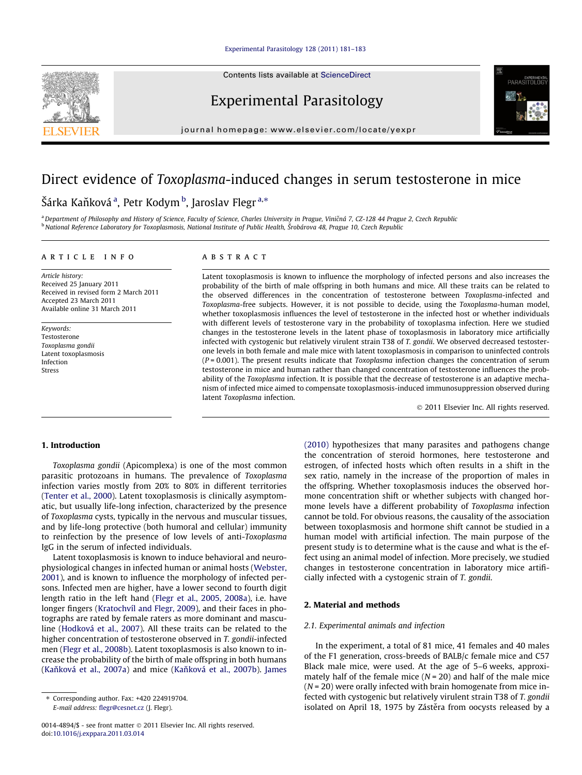#### [Experimental Parasitology 128 \(2011\) 181–183](http://dx.doi.org/10.1016/j.exppara.2011.03.014)

Contents lists available at [ScienceDirect](http://www.sciencedirect.com/science/journal/00144894)



Experimental Parasitology

journal homepage: [www.elsevier.com/locate/yexpr](http://www.elsevier.com/locate/yexpr)

# Direct evidence of Toxoplasma-induced changes in serum testosterone in mice

# Šárka Kaňková <sup>a</sup>, Petr Kodym <sup>b</sup>, Jaroslav Flegr <sup>a,</sup>\*

a Department of Philosophy and History of Science, Faculty of Science, Charles University in Prague, Viničná 7, CZ-128 44 Prague 2, Czech Republic <sup>b</sup> National Reference Laboratory for Toxoplasmosis, National Institute of Public Health, Šrobárova 48, Prague 10, Czech Republic

# article info

Article history: Received 25 January 2011 Received in revised form 2 March 2011 Accepted 23 March 2011 Available online 31 March 2011

Keywords: Testosterone Toxoplasma gondii Latent toxoplasmosis Infection Stress

# **ABSTRACT**

Latent toxoplasmosis is known to influence the morphology of infected persons and also increases the probability of the birth of male offspring in both humans and mice. All these traits can be related to the observed differences in the concentration of testosterone between Toxoplasma-infected and Toxoplasma-free subjects. However, it is not possible to decide, using the Toxoplasma-human model, whether toxoplasmosis influences the level of testosterone in the infected host or whether individuals with different levels of testosterone vary in the probability of toxoplasma infection. Here we studied changes in the testosterone levels in the latent phase of toxoplasmosis in laboratory mice artificially infected with cystogenic but relatively virulent strain T38 of T. gondii. We observed decreased testosterone levels in both female and male mice with latent toxoplasmosis in comparison to uninfected controls  $(P = 0.001)$ . The present results indicate that *Toxoplasma* infection changes the concentration of serum testosterone in mice and human rather than changed concentration of testosterone influences the probability of the Toxoplasma infection. It is possible that the decrease of testosterone is an adaptive mechanism of infected mice aimed to compensate toxoplasmosis-induced immunosuppression observed during latent Toxoplasma infection.

- 2011 Elsevier Inc. All rights reserved.

## 1. Introduction

Toxoplasma gondii (Apicomplexa) is one of the most common parasitic protozoans in humans. The prevalence of Toxoplasma infection varies mostly from 20% to 80% in different territories ([Tenter et al., 2000\)](#page-2-0). Latent toxoplasmosis is clinically asymptomatic, but usually life-long infection, characterized by the presence of Toxoplasma cysts, typically in the nervous and muscular tissues, and by life-long protective (both humoral and cellular) immunity to reinfection by the presence of low levels of anti-Toxoplasma IgG in the serum of infected individuals.

Latent toxoplasmosis is known to induce behavioral and neurophysiological changes in infected human or animal hosts ([Webster,](#page-2-0) [2001](#page-2-0)), and is known to influence the morphology of infected persons. Infected men are higher, have a lower second to fourth digit length ratio in the left hand [\(Flegr et al., 2005, 2008a](#page-2-0)), i.e. have longer fingers [\(Kratochvíl and Flegr, 2009](#page-2-0)), and their faces in photographs are rated by female raters as more dominant and masculine [\(Hodková et al., 2007](#page-2-0)). All these traits can be related to the higher concentration of testosterone observed in T. gondii-infected men [\(Flegr et al., 2008b\)](#page-2-0). Latent toxoplasmosis is also known to increase the probability of the birth of male offspring in both humans (Kaňková et al., 2007a) and mice (Kaňková et al., 2007b). [James](#page-2-0) [\(2010\)](#page-2-0) hypothesizes that many parasites and pathogens change the concentration of steroid hormones, here testosterone and estrogen, of infected hosts which often results in a shift in the sex ratio, namely in the increase of the proportion of males in the offspring. Whether toxoplasmosis induces the observed hormone concentration shift or whether subjects with changed hormone levels have a different probability of Toxoplasma infection cannot be told. For obvious reasons, the causality of the association between toxoplasmosis and hormone shift cannot be studied in a human model with artificial infection. The main purpose of the present study is to determine what is the cause and what is the effect using an animal model of infection. More precisely, we studied changes in testosterone concentration in laboratory mice artificially infected with a cystogenic strain of T. gondii.

# 2. Material and methods

# 2.1. Experimental animals and infection

In the experiment, a total of 81 mice, 41 females and 40 males of the F1 generation, cross-breeds of BALB/c female mice and C57 Black male mice, were used. At the age of 5–6 weeks, approximately half of the female mice  $(N = 20)$  and half of the male mice  $(N = 20)$  were orally infected with brain homogenate from mice infected with cystogenic but relatively virulent strain T38 of T. gondii isolated on April 18, 1975 by Zástěra from oocysts released by a

<sup>⇑</sup> Corresponding author. Fax: +420 224919704. E-mail address: [flegr@cesnet.cz](mailto:flegr@cesnet.cz) (J. Flegr).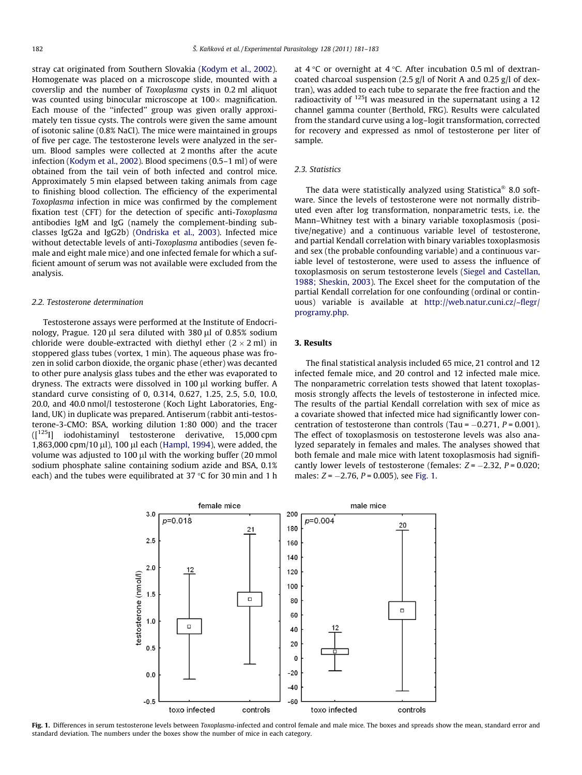stray cat originated from Southern Slovakia [\(Kodym et al., 2002\)](#page-2-0). Homogenate was placed on a microscope slide, mounted with a coverslip and the number of Toxoplasma cysts in 0.2 ml aliquot was counted using binocular microscope at 100 $\times$  magnification. Each mouse of the ''infected'' group was given orally approximately ten tissue cysts. The controls were given the same amount of isotonic saline (0.8% NaCl). The mice were maintained in groups of five per cage. The testosterone levels were analyzed in the serum. Blood samples were collected at 2 months after the acute infection [\(Kodym et al., 2002\)](#page-2-0). Blood specimens (0.5–1 ml) of were obtained from the tail vein of both infected and control mice. Approximately 5 min elapsed between taking animals from cage to finishing blood collection. The efficiency of the experimental Toxoplasma infection in mice was confirmed by the complement fixation test (CFT) for the detection of specific anti-Toxoplasma antibodies IgM and IgG (namely the complement-binding subclasses IgG2a and IgG2b) [\(Ondriska et al., 2003\)](#page-2-0). Infected mice without detectable levels of anti-Toxoplasma antibodies (seven female and eight male mice) and one infected female for which a sufficient amount of serum was not available were excluded from the analysis.

#### 2.2. Testosterone determination

Testosterone assays were performed at the Institute of Endocrinology, Prague. 120  $\mu$ l sera diluted with 380  $\mu$ l of 0.85% sodium chloride were double-extracted with diethyl ether (2  $\times$  2 ml) in stoppered glass tubes (vortex, 1 min). The aqueous phase was frozen in solid carbon dioxide, the organic phase (ether) was decanted to other pure analysis glass tubes and the ether was evaporated to dryness. The extracts were dissolved in 100 µl working buffer. A standard curve consisting of 0, 0.314, 0.627, 1.25, 2.5, 5.0, 10.0, 20.0, and 40.0 nmol/l testosterone (Koch Light Laboratories, England, UK) in duplicate was prepared. Antiserum (rabbit anti-testosterone-3-CMO: BSA, working dilution 1:80 000) and the tracer ([125I] iodohistaminyl testosterone derivative, 15,000 cpm 1,863,000 cpm/10 μl), 100 μl each ([Hampl, 1994](#page-2-0)), were added, the volume was adjusted to 100  $\mu$ l with the working buffer (20 mmol sodium phosphate saline containing sodium azide and BSA, 0.1% each) and the tubes were equilibrated at 37  $\degree$ C for 30 min and 1 h at  $4^{\circ}$ C or overnight at  $4^{\circ}$ C. After incubation 0.5 ml of dextrancoated charcoal suspension (2.5 g/l of Norit A and 0.25 g/l of dextran), was added to each tube to separate the free fraction and the radioactivity of  $125$ I was measured in the supernatant using a 12 channel gamma counter (Berthold, FRG). Results were calculated from the standard curve using a log–logit transformation, corrected for recovery and expressed as nmol of testosterone per liter of sample.

#### 2.3. Statistics

The data were statistically analyzed using Statistica<sup>®</sup> 8.0 software. Since the levels of testosterone were not normally distributed even after log transformation, nonparametric tests, i.e. the Mann–Whitney test with a binary variable toxoplasmosis (positive/negative) and a continuous variable level of testosterone, and partial Kendall correlation with binary variables toxoplasmosis and sex (the probable confounding variable) and a continuous variable level of testosterone, were used to assess the influence of toxoplasmosis on serum testosterone levels ([Siegel and Castellan,](#page-2-0) [1988; Sheskin, 2003](#page-2-0)). The Excel sheet for the computation of the partial Kendall correlation for one confounding (ordinal or continuous) variable is available at [http://web.natur.cuni.cz/~flegr/](http://web.natur.cuni.cz) [programy.php](http://web.natur.cuni.cz).

#### 3. Results

The final statistical analysis included 65 mice, 21 control and 12 infected female mice, and 20 control and 12 infected male mice. The nonparametric correlation tests showed that latent toxoplasmosis strongly affects the levels of testosterone in infected mice. The results of the partial Kendall correlation with sex of mice as a covariate showed that infected mice had significantly lower concentration of testosterone than controls (Tau =  $-0.271$ ,  $P = 0.001$ ). The effect of toxoplasmosis on testosterone levels was also analyzed separately in females and males. The analyses showed that both female and male mice with latent toxoplasmosis had significantly lower levels of testosterone (females:  $Z = -2.32$ ,  $P = 0.020$ ; males:  $Z = -2.76$ ,  $P = 0.005$ ), see Fig. 1.



Fig. 1. Differences in serum testosterone levels between Toxoplasma-infected and control female and male mice. The boxes and spreads show the mean, standard error and standard deviation. The numbers under the boxes show the number of mice in each category.